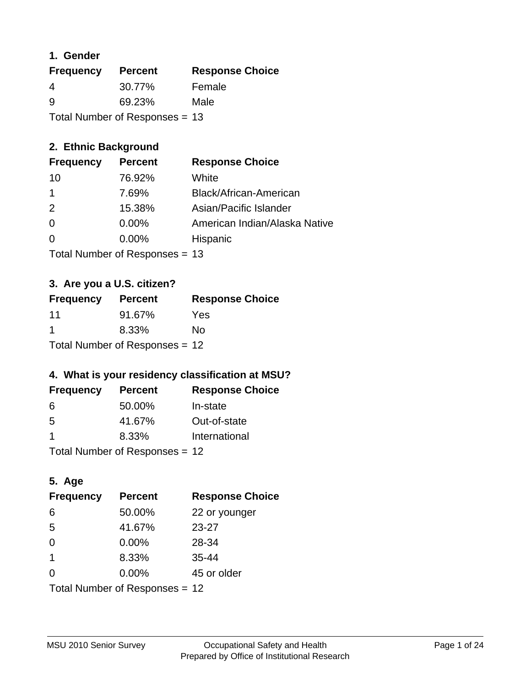### **1. Gender**

| <b>Frequency</b>               | <b>Percent</b> | <b>Response Choice</b> |
|--------------------------------|----------------|------------------------|
| 4                              | 30.77%         | Female                 |
| 9                              | 69.23%         | Male                   |
| Total Number of Responses = 13 |                |                        |

# **2. Ethnic Background**

| <b>Frequency</b> | <b>Percent</b> | <b>Response Choice</b>        |
|------------------|----------------|-------------------------------|
| 10               | 76.92%         | White                         |
|                  | 7.69%          | Black/African-American        |
| $\mathcal{P}$    | 15.38%         | Asian/Pacific Islander        |
| $\Omega$         | 0.00%          | American Indian/Alaska Native |
| $\Omega$         | 0.00%          | Hispanic                      |
|                  |                |                               |

Total Number of Responses = 13

# **3. Are you a U.S. citizen?**

| <b>Frequency</b>                 | <b>Percent</b> | <b>Response Choice</b> |
|----------------------------------|----------------|------------------------|
| 11                               | 91.67%         | Yes                    |
| -1                               | 8.33%          | No                     |
| Total Number of Responses $= 12$ |                |                        |

# **4. What is your residency classification at MSU?**

| <b>Frequency</b> | <b>Percent</b> | <b>Response Choice</b> |
|------------------|----------------|------------------------|
| 6                | 50.00%         | In-state               |
| -5               | 41.67%         | Out-of-state           |
| -1               | 8.33%          | International          |
|                  |                |                        |

Total Number of Responses = 12

# **5. Age**

| <b>Frequency</b>               | <b>Percent</b> | <b>Response Choice</b> |
|--------------------------------|----------------|------------------------|
| 6                              | 50.00%         | 22 or younger          |
| 5                              | 41.67%         | $23 - 27$              |
| $\Omega$                       | 0.00%          | 28-34                  |
| $\mathbf{1}$                   | 8.33%          | $35 - 44$              |
| 0                              | 0.00%          | 45 or older            |
| Total Number of Responses = 12 |                |                        |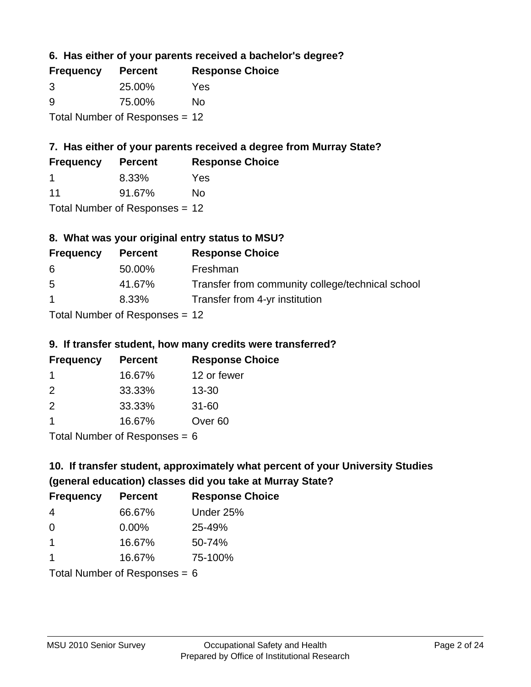**6. Has either of your parents received a bachelor's degree?**

| <b>Frequency</b> | <b>Percent</b>                 | <b>Response Choice</b> |
|------------------|--------------------------------|------------------------|
| 3                | 25.00%                         | Yes                    |
| 9                | 75.00%                         | Nο                     |
|                  | Total Number of Responses = 12 |                        |

# **7. Has either of your parents received a degree from Murray State?**

| <b>Frequency</b> | <b>Percent</b> | <b>Response Choice</b> |
|------------------|----------------|------------------------|
|                  | 8.33%          | Yes                    |
| 11               | 91.67%         | No                     |
|                  |                |                        |

Total Number of Responses = 12

# **8. What was your original entry status to MSU?**

| <b>Frequency</b>                  | <b>Percent</b> | <b>Response Choice</b>                           |
|-----------------------------------|----------------|--------------------------------------------------|
| 6                                 | 50.00%         | Freshman                                         |
| 5                                 | 41.67%         | Transfer from community college/technical school |
| $\mathbf 1$                       | 8.33%          | Transfer from 4-yr institution                   |
| $Total Number of DoEROR 202 - 42$ |                |                                                  |

Total Number of Responses = 12

### **9. If transfer student, how many credits were transferred?**

| <b>Frequency</b>            | <b>Percent</b> | <b>Response Choice</b> |
|-----------------------------|----------------|------------------------|
|                             | 16.67%         | 12 or fewer            |
| $\mathcal{P}$               | 33.33%         | $13 - 30$              |
| $\mathcal{P}$               | 33.33%         | $31 - 60$              |
|                             | 16.67%         | Over <sub>60</sub>     |
| Total Number of Desponses C |                |                        |

I otal Number of Responses  $= 6$ 

# **10. If transfer student, approximately what percent of your University Studies (general education) classes did you take at Murray State?**

| <b>Frequency</b>                | <b>Percent</b> | <b>Response Choice</b> |
|---------------------------------|----------------|------------------------|
| 4                               | 66.67%         | Under 25%              |
| $\Omega$                        | $0.00\%$       | 25-49%                 |
| $\overline{1}$                  | 16.67%         | 50-74%                 |
| 1                               | 16.67%         | 75-100%                |
| Total Number of Responses = $6$ |                |                        |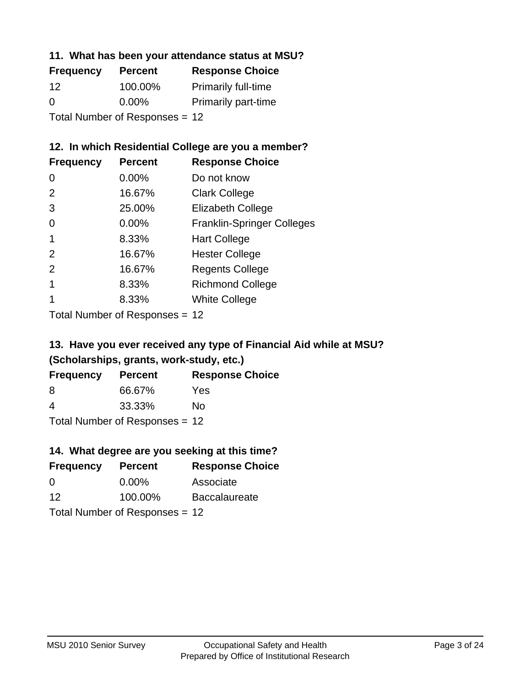### **11. What has been your attendance status at MSU?**

| <b>Frequency</b>               | <b>Percent</b> | <b>Response Choice</b>     |
|--------------------------------|----------------|----------------------------|
| $12 \,$                        | 100.00%        | <b>Primarily full-time</b> |
| $\Omega$                       | $0.00\%$       | <b>Primarily part-time</b> |
| Total Number of Responses = 12 |                |                            |

# **12. In which Residential College are you a member?**

| <b>Frequency</b> | <b>Percent</b> | <b>Response Choice</b>            |
|------------------|----------------|-----------------------------------|
| 0                | 0.00%          | Do not know                       |
| 2                | 16.67%         | <b>Clark College</b>              |
| 3                | 25.00%         | <b>Elizabeth College</b>          |
| 0                | $0.00\%$       | <b>Franklin-Springer Colleges</b> |
|                  | 8.33%          | <b>Hart College</b>               |
| $\mathcal{P}$    | 16.67%         | <b>Hester College</b>             |
| 2                | 16.67%         | <b>Regents College</b>            |
|                  | 8.33%          | <b>Richmond College</b>           |
|                  | 8.33%          | <b>White College</b>              |
|                  |                |                                   |

Total Number of Responses = 12

# **13. Have you ever received any type of Financial Aid while at MSU? (Scholarships, grants, work-study, etc.)**

| <b>Frequency</b> | <b>Percent</b>            | <b>Response Choice</b> |
|------------------|---------------------------|------------------------|
| 8                | 66.67%                    | Yes                    |
| 4                | 33.33%                    | Nο                     |
|                  | Total Number of Deepensee |                        |

Total Number of Responses = 12

# **14. What degree are you seeking at this time?**

| <b>Frequency</b> | <b>Percent</b>                 | <b>Response Choice</b> |
|------------------|--------------------------------|------------------------|
| $\Omega$         | $0.00\%$                       | Associate              |
| 12               | 100.00%                        | <b>Baccalaureate</b>   |
|                  | Total Number of Responses = 12 |                        |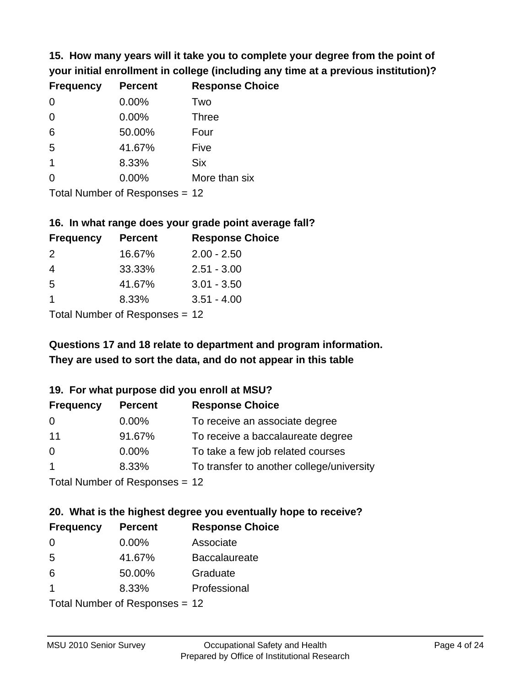**15. How many years will it take you to complete your degree from the point of your initial enrollment in college (including any time at a previous institution)?**

| <b>Frequency</b> | <b>Percent</b> | <b>Response Choice</b> |
|------------------|----------------|------------------------|
| 0                | 0.00%          | Two                    |
| 0                | 0.00%          | <b>Three</b>           |
| 6                | 50.00%         | Four                   |
| 5                | 41.67%         | Five                   |
| $\overline{1}$   | 8.33%          | <b>Six</b>             |
| 0                | 0.00%          | More than six          |
|                  |                |                        |

Total Number of Responses = 12

#### **16. In what range does your grade point average fall?**

| <b>Frequency</b> | <b>Percent</b> | <b>Response Choice</b> |
|------------------|----------------|------------------------|
| $\mathcal{P}$    | 16.67%         | $2.00 - 2.50$          |
| 4                | 33.33%         | $2.51 - 3.00$          |
| -5               | 41.67%         | $3.01 - 3.50$          |
|                  | 8.33%          | $3.51 - 4.00$          |
| — <u>.</u>       |                |                        |

Total Number of Responses = 12

# **They are used to sort the data, and do not appear in this table Questions 17 and 18 relate to department and program information.**

### **19. For what purpose did you enroll at MSU?**

| <b>Frequency</b> | <b>Percent</b>                  | <b>Response Choice</b>                    |
|------------------|---------------------------------|-------------------------------------------|
| 0                | $0.00\%$                        | To receive an associate degree            |
| 11               | 91.67%                          | To receive a baccalaureate degree         |
| $\overline{0}$   | $0.00\%$                        | To take a few job related courses         |
| $\overline{1}$   | 8.33%                           | To transfer to another college/university |
|                  | $Total Number of DoEROROR = 42$ |                                           |

Total Number of Responses = 12

# **20. What is the highest degree you eventually hope to receive?**

| <b>Frequency</b>     | <b>Percent</b>            | <b>Response Choice</b> |
|----------------------|---------------------------|------------------------|
| 0                    | $0.00\%$                  | Associate              |
| 5                    | 41.67%                    | <b>Baccalaureate</b>   |
| 6                    | 50.00%                    | Graduate               |
| $\blacktriangleleft$ | 8.33%                     | Professional           |
|                      | Total Number of Despanses |                        |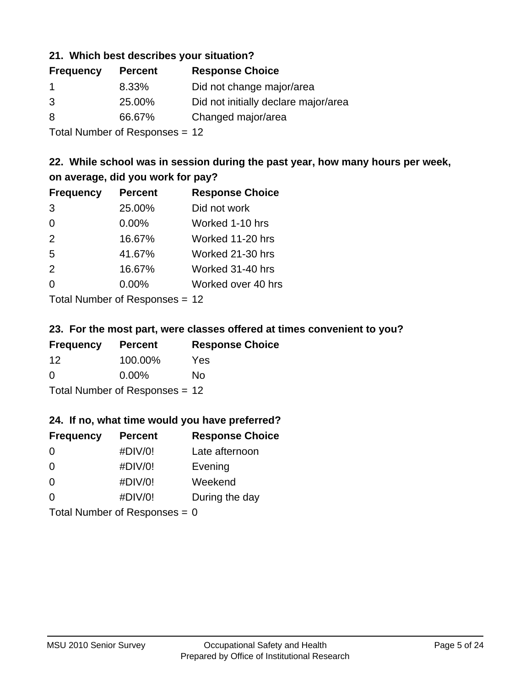### **21. Which best describes your situation?**

| <b>Frequency</b> | <b>Percent</b> | <b>Response Choice</b>               |
|------------------|----------------|--------------------------------------|
| -1               | 8.33%          | Did not change major/area            |
| 3                | 25.00%         | Did not initially declare major/area |
| 8                | 66.67%         | Changed major/area                   |
|                  |                |                                      |

Total Number of Responses = 12

# **22. While school was in session during the past year, how many hours per week, on average, did you work for pay?**

| <b>Frequency</b> | <b>Percent</b> | <b>Response Choice</b> |
|------------------|----------------|------------------------|
| 3                | 25.00%         | Did not work           |
| $\Omega$         | 0.00%          | Worked 1-10 hrs        |
| 2                | 16.67%         | Worked 11-20 hrs       |
| 5                | 41.67%         | Worked 21-30 hrs       |
| 2                | 16.67%         | Worked 31-40 hrs       |
| $\overline{0}$   | 0.00%          | Worked over 40 hrs     |
|                  |                |                        |

Total Number of Responses = 12

### **23. For the most part, were classes offered at times convenient to you?**

| <b>Frequency</b> | <b>Percent</b>                 | <b>Response Choice</b> |
|------------------|--------------------------------|------------------------|
| 12               | 100.00%                        | Yes                    |
| $\Omega$         | $0.00\%$                       | Nο                     |
|                  | Total Number of Responses = 12 |                        |

### **24. If no, what time would you have preferred?**

| <b>Frequency</b> | <b>Percent</b>                  | <b>Response Choice</b> |
|------------------|---------------------------------|------------------------|
| $\Omega$         | #DIV/0!                         | Late afternoon         |
| 0                | #DIV/0!                         | Evening                |
| 0                | #DIV/0!                         | Weekend                |
| $\Omega$         | #DIV/0!                         | During the day         |
|                  | Total Number of Responses = $0$ |                        |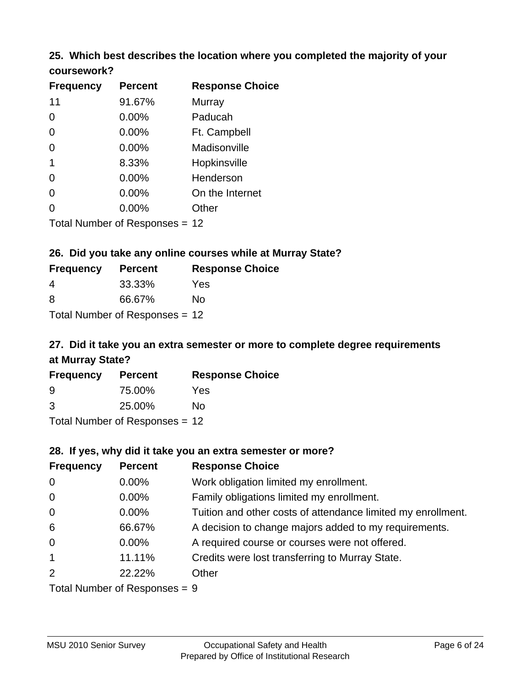# **25. Which best describes the location where you completed the majority of your**

| <b>Frequency</b> | <b>Percent</b>            | <b>Response Choice</b> |
|------------------|---------------------------|------------------------|
| 11               | 91.67%                    | Murray                 |
| $\Omega$         | 0.00%                     | Paducah                |
| $\Omega$         | 0.00%                     | Ft. Campbell           |
| $\overline{0}$   | 0.00%                     | Madisonville           |
| $\overline{1}$   | 8.33%                     | Hopkinsville           |
| 0                | 0.00%                     | Henderson              |
| 0                | 0.00%                     | On the Internet        |
| 0                | 0.00%                     | Other                  |
|                  | Total Number of Doopopooo |                        |

Total Number of Responses = 12

**coursework?**

# **26. Did you take any online courses while at Murray State?**

| <b>Frequency</b> | <b>Percent</b>                   | <b>Response Choice</b> |
|------------------|----------------------------------|------------------------|
| 4                | 33.33%                           | Yes                    |
| -8               | 66.67%                           | No                     |
|                  | Total Number of Responses = $12$ |                        |

# **27. Did it take you an extra semester or more to complete degree requirements at Murray State?**

| <b>Frequency</b> | <b>Percent</b>                  | <b>Response Choice</b> |
|------------------|---------------------------------|------------------------|
| 9                | 75.00%                          | Yes                    |
| 3                | 25.00%                          | No                     |
|                  | $Total Number of Doonono0 = 42$ |                        |

Total Number of Responses = 12

### **28. If yes, why did it take you an extra semester or more?**

| <b>Frequency</b> | <b>Percent</b>                  | <b>Response Choice</b>                                       |
|------------------|---------------------------------|--------------------------------------------------------------|
| $\overline{0}$   | $0.00\%$                        | Work obligation limited my enrollment.                       |
| $\mathbf 0$      | $0.00\%$                        | Family obligations limited my enrollment.                    |
| $\mathbf 0$      | $0.00\%$                        | Tuition and other costs of attendance limited my enrollment. |
| 6                | 66.67%                          | A decision to change majors added to my requirements.        |
| $\mathbf 0$      | $0.00\%$                        | A required course or courses were not offered.               |
| $\mathbf{1}$     | 11.11%                          | Credits were lost transferring to Murray State.              |
| 2                | 22.22%                          | Other                                                        |
|                  | Total Number of Responses $= 9$ |                                                              |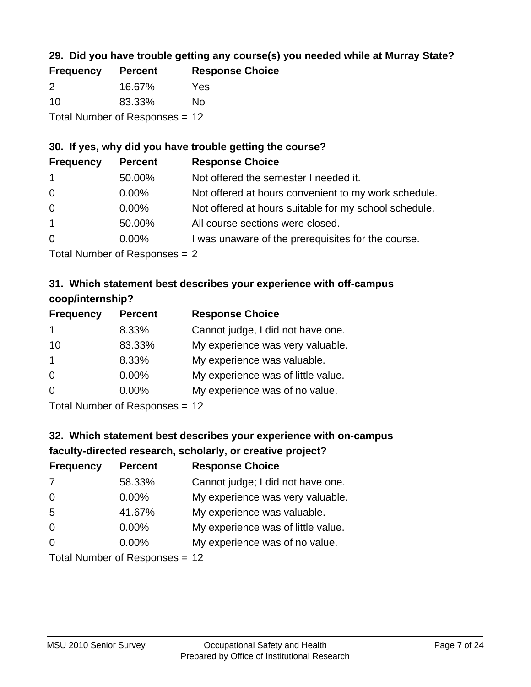# **29. Did you have trouble getting any course(s) you needed while at Murray State?**

| <b>Frequency</b>               | <b>Percent</b> | <b>Response Choice</b> |  |
|--------------------------------|----------------|------------------------|--|
| $\mathcal{P}$                  | 16.67%         | Yes                    |  |
| 10                             | 83.33%         | Nο                     |  |
| Total Number of Responses = 12 |                |                        |  |

### **30. If yes, why did you have trouble getting the course?**

| <b>Frequency</b> | <b>Percent</b> | <b>Response Choice</b>                                |
|------------------|----------------|-------------------------------------------------------|
| $\overline{1}$   | 50.00%         | Not offered the semester I needed it.                 |
| $\overline{0}$   | $0.00\%$       | Not offered at hours convenient to my work schedule.  |
| $\overline{0}$   | $0.00\%$       | Not offered at hours suitable for my school schedule. |
| $\overline{1}$   | 50.00%         | All course sections were closed.                      |
| $\overline{0}$   | $0.00\%$       | I was unaware of the prerequisites for the course.    |
|                  |                |                                                       |

Total Number of Responses = 2

# **31. Which statement best describes your experience with off-campus coop/internship?**

| <b>Frequency</b>        | <b>Percent</b> | <b>Response Choice</b>             |
|-------------------------|----------------|------------------------------------|
| $\mathbf 1$             | 8.33%          | Cannot judge, I did not have one.  |
| 10                      | 83.33%         | My experience was very valuable.   |
| $\overline{\mathbf{1}}$ | 8.33%          | My experience was valuable.        |
| $\Omega$                | $0.00\%$       | My experience was of little value. |
| $\Omega$                | 0.00%          | My experience was of no value.     |
|                         |                |                                    |

Total Number of Responses = 12

# **32. Which statement best describes your experience with on-campus faculty-directed research, scholarly, or creative project?**

| <b>Frequency</b> | <b>Percent</b>                 | <b>Response Choice</b>             |
|------------------|--------------------------------|------------------------------------|
| 7                | 58.33%                         | Cannot judge; I did not have one.  |
| $\overline{0}$   | $0.00\%$                       | My experience was very valuable.   |
| 5                | 41.67%                         | My experience was valuable.        |
| $\Omega$         | $0.00\%$                       | My experience was of little value. |
| $\Omega$         | $0.00\%$                       | My experience was of no value.     |
|                  | Total Number of Deconoces - 12 |                                    |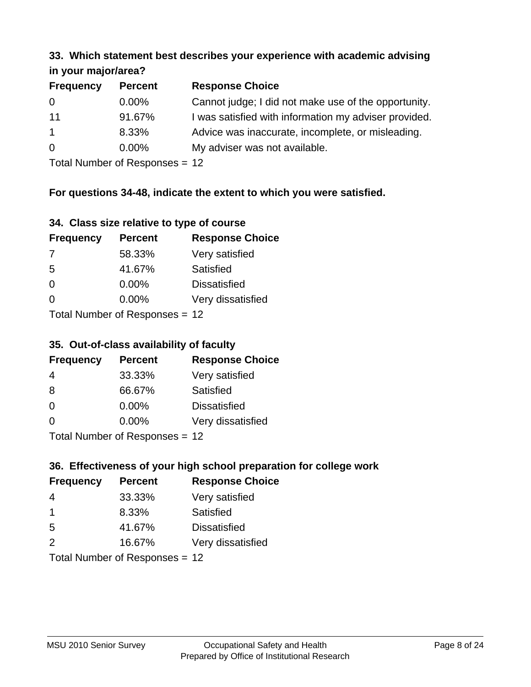#### **33. Which statement best describes your experience with academic advising in your major/area?**

| $\cdots$ your mapproved. |                |                                                       |  |
|--------------------------|----------------|-------------------------------------------------------|--|
| <b>Frequency</b>         | <b>Percent</b> | <b>Response Choice</b>                                |  |
| 0                        | $0.00\%$       | Cannot judge; I did not make use of the opportunity.  |  |
| 11                       | 91.67%         | I was satisfied with information my adviser provided. |  |
| $\mathbf{1}$             | 8.33%          | Advice was inaccurate, incomplete, or misleading.     |  |
| 0                        | $0.00\%$       | My adviser was not available.                         |  |
|                          |                |                                                       |  |

Total Number of Responses = 12

# **For questions 34-48, indicate the extent to which you were satisfied.**

| 34. Class size relative to type of course |  |  |  |  |  |  |  |  |
|-------------------------------------------|--|--|--|--|--|--|--|--|
|-------------------------------------------|--|--|--|--|--|--|--|--|

| <b>Frequency</b> | <b>Percent</b>                 | <b>Response Choice</b> |
|------------------|--------------------------------|------------------------|
| -7               | 58.33%                         | Very satisfied         |
| -5               | 41.67%                         | Satisfied              |
| $\Omega$         | $0.00\%$                       | <b>Dissatisfied</b>    |
| $\Omega$         | $0.00\%$                       | Very dissatisfied      |
|                  | Total Number of Responses - 12 |                        |

I otal Number of Responses =  $12$ 

### **35. Out-of-class availability of faculty**

| <b>Frequency</b> | <b>Percent</b>            | <b>Response Choice</b> |
|------------------|---------------------------|------------------------|
| 4                | 33.33%                    | Very satisfied         |
| 8                | 66.67%                    | Satisfied              |
| $\Omega$         | $0.00\%$                  | <b>Dissatisfied</b>    |
| $\Omega$         | $0.00\%$                  | Very dissatisfied      |
|                  | Total Number of DoEROR 0. |                        |

Total Number of Responses = 12

# **36. Effectiveness of your high school preparation for college work**

| <b>Frequency</b> | <b>Percent</b>                  | <b>Response Choice</b> |
|------------------|---------------------------------|------------------------|
| 4                | 33.33%                          | Very satisfied         |
| -1               | 8.33%                           | Satisfied              |
| 5                | 41.67%                          | <b>Dissatisfied</b>    |
| $\mathcal{P}$    | 16.67%                          | Very dissatisfied      |
|                  | Total Number of Decononces - 12 |                        |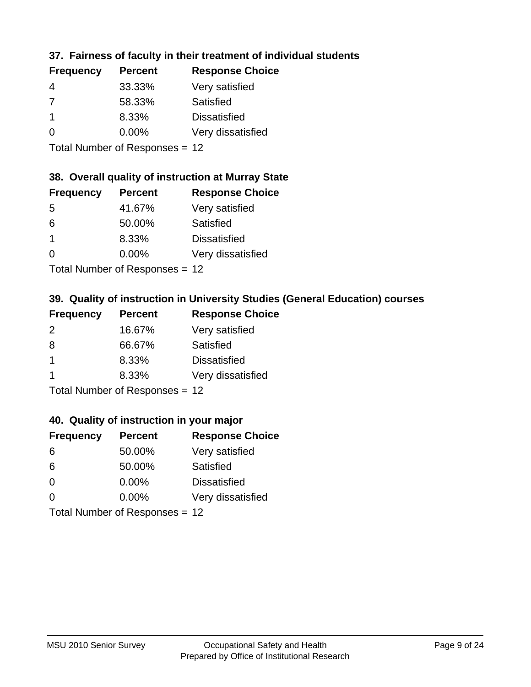# **37. Fairness of faculty in their treatment of individual students**

| <b>Frequency</b> | <b>Percent</b> | <b>Response Choice</b> |
|------------------|----------------|------------------------|
| 4                | 33.33%         | Very satisfied         |
| -7               | 58.33%         | Satisfied              |
|                  | 8.33%          | <b>Dissatisfied</b>    |
| $\Omega$         | 0.00%          | Very dissatisfied      |
|                  |                |                        |

Total Number of Responses = 12

### **38. Overall quality of instruction at Murray State**

| <b>Frequency</b> | <b>Percent</b> | <b>Response Choice</b> |
|------------------|----------------|------------------------|
| 5                | 41.67%         | Very satisfied         |
| 6                | 50.00%         | Satisfied              |
| $\mathbf 1$      | 8.33%          | <b>Dissatisfied</b>    |
| $\Omega$         | 0.00%          | Very dissatisfied      |
|                  |                |                        |

Total Number of Responses = 12

# **39. Quality of instruction in University Studies (General Education) courses**

| <b>Frequency</b> | <b>Percent</b>              | <b>Response Choice</b> |
|------------------|-----------------------------|------------------------|
| 2                | 16.67%                      | Very satisfied         |
| 8                | 66.67%                      | Satisfied              |
| -1               | 8.33%                       | <b>Dissatisfied</b>    |
|                  | 8.33%                       | Very dissatisfied      |
|                  | Tatal Manualan af Dannannan |                        |

Total Number of Responses = 12

### **40. Quality of instruction in your major**

| <b>Frequency</b> | <b>Percent</b>            | <b>Response Choice</b> |
|------------------|---------------------------|------------------------|
| 6                | 50.00%                    | Very satisfied         |
| 6                | 50.00%                    | Satisfied              |
| $\Omega$         | 0.00%                     | <b>Dissatisfied</b>    |
| $\Omega$         | 0.00%                     | Very dissatisfied      |
|                  | Total Number of Deepersee |                        |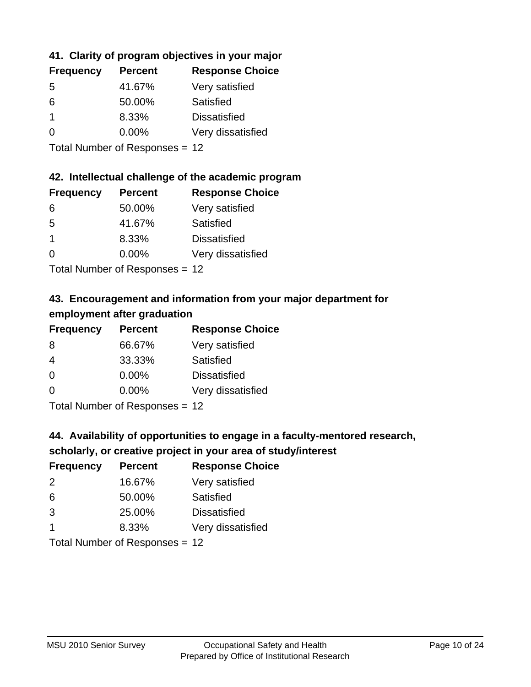# **41. Clarity of program objectives in your major**

| <b>Frequency</b> | <b>Percent</b> | <b>Response Choice</b> |
|------------------|----------------|------------------------|
| .5               | 41.67%         | Very satisfied         |
| 6                | 50.00%         | Satisfied              |
|                  | 8.33%          | <b>Dissatisfied</b>    |
| ∩                | $0.00\%$       | Very dissatisfied      |
|                  |                |                        |

Total Number of Responses = 12

### **42. Intellectual challenge of the academic program**

| <b>Frequency</b> | <b>Percent</b> | <b>Response Choice</b> |
|------------------|----------------|------------------------|
| 6                | 50.00%         | Very satisfied         |
| .5               | 41.67%         | Satisfied              |
| -1               | 8.33%          | <b>Dissatisfied</b>    |
| $\Omega$         | 0.00%          | Very dissatisfied      |
|                  |                |                        |

Total Number of Responses = 12

# **43. Encouragement and information from your major department for employment after graduation**

| <b>Frequency</b> | <b>Percent</b> | <b>Response Choice</b> |
|------------------|----------------|------------------------|
| 8                | 66.67%         | Very satisfied         |
| 4                | 33.33%         | Satisfied              |
| $\overline{0}$   | $0.00\%$       | <b>Dissatisfied</b>    |
| 0                | $0.00\%$       | Very dissatisfied      |
|                  |                |                        |

Total Number of Responses = 12

# **44. Availability of opportunities to engage in a faculty-mentored research,**

### **scholarly, or creative project in your area of study/interest**

| <b>Frequency</b> | <b>Percent</b> | <b>Response Choice</b> |
|------------------|----------------|------------------------|
| $\mathcal{P}$    | 16.67%         | Very satisfied         |
| 6                | 50.00%         | Satisfied              |
| 3                | 25.00%         | <b>Dissatisfied</b>    |
|                  | 8.33%          | Very dissatisfied      |
|                  |                |                        |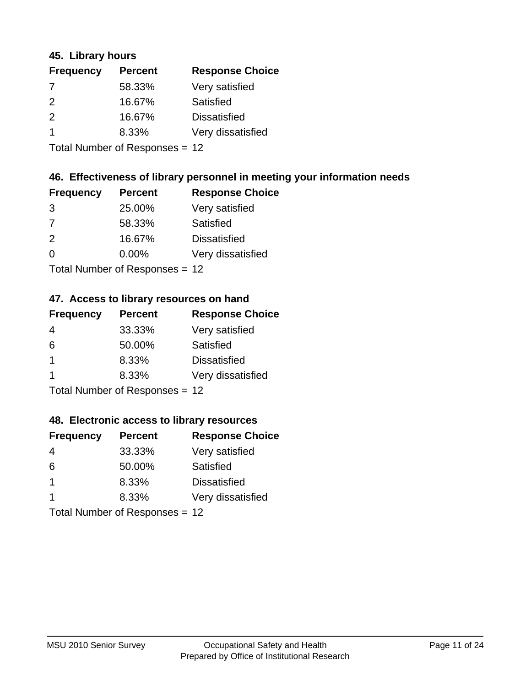### **45. Library hours**

| <b>Frequency</b> | <b>Percent</b> | <b>Response Choice</b> |
|------------------|----------------|------------------------|
| 7                | 58.33%         | Very satisfied         |
| $\mathcal{P}$    | 16.67%         | Satisfied              |
| $\mathcal{P}$    | 16.67%         | <b>Dissatisfied</b>    |
|                  | 8.33%          | Very dissatisfied      |
|                  |                |                        |

Total Number of Responses = 12

### **46. Effectiveness of library personnel in meeting your information needs**

| <b>Frequency</b> | <b>Percent</b> | <b>Response Choice</b> |
|------------------|----------------|------------------------|
| 3                | 25.00%         | Very satisfied         |
| 7                | 58.33%         | Satisfied              |
| $\mathcal{P}$    | 16.67%         | <b>Dissatisfied</b>    |
| $\Omega$         | $0.00\%$       | Very dissatisfied      |
|                  |                |                        |

Total Number of Responses = 12

### **47. Access to library resources on hand**

| <b>Frequency</b> | <b>Percent</b>             | <b>Response Choice</b> |
|------------------|----------------------------|------------------------|
| 4                | 33.33%                     | Very satisfied         |
| 6                | 50.00%                     | Satisfied              |
| $\mathbf 1$      | 8.33%                      | <b>Dissatisfied</b>    |
|                  | 8.33%                      | Very dissatisfied      |
|                  | Tatal Number of Desperance |                        |

Total Number of Responses = 12

### **48. Electronic access to library resources**

| <b>Frequency</b> | <b>Percent</b>                 | <b>Response Choice</b> |
|------------------|--------------------------------|------------------------|
| 4                | 33.33%                         | Very satisfied         |
| 6                | 50.00%                         | Satisfied              |
| $\overline{1}$   | 8.33%                          | <b>Dissatisfied</b>    |
|                  | 8.33%                          | Very dissatisfied      |
|                  | Total Number of Responses = 12 |                        |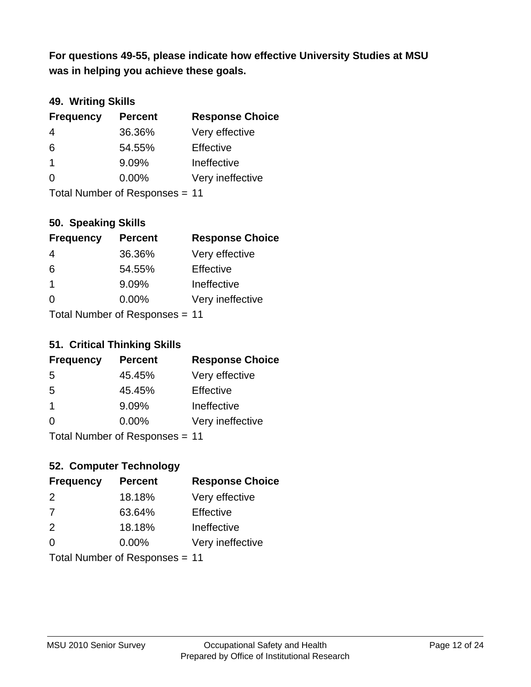**was in helping you achieve these goals. For questions 49-55, please indicate how effective University Studies at MSU** 

### **49. Writing Skills**

| <b>Frequency</b> | <b>Percent</b>                 | <b>Response Choice</b> |
|------------------|--------------------------------|------------------------|
| $\overline{4}$   | 36.36%                         | Very effective         |
| 6                | 54.55%                         | Effective              |
| $\overline{1}$   | 9.09%                          | Ineffective            |
| $\Omega$         | $0.00\%$                       | Very ineffective       |
|                  | Total Number of Responses = 11 |                        |

**50. Speaking Skills**

| <b>Frequency</b>               | <b>Percent</b> | <b>Response Choice</b> |
|--------------------------------|----------------|------------------------|
| 4                              | 36.36%         | Very effective         |
| 6                              | 54.55%         | Effective              |
| $\mathbf{1}$                   | 9.09%          | Ineffective            |
| $\Omega$                       | 0.00%          | Very ineffective       |
| Total Number of Poenonces - 11 |                |                        |

Total Number of Responses = 11

### **51. Critical Thinking Skills**

| <b>Frequency</b> | <b>Percent</b>            | <b>Response Choice</b> |
|------------------|---------------------------|------------------------|
| 5                | 45.45%                    | Very effective         |
| 5                | 45.45%                    | Effective              |
| $\mathbf 1$      | 9.09%                     | Ineffective            |
| $\Omega$         | 0.00%                     | Very ineffective       |
|                  | Total Number of Desponses |                        |

Total Number of Responses = 11

# **52. Computer Technology**

| <b>Frequency</b>               | <b>Percent</b> | <b>Response Choice</b> |
|--------------------------------|----------------|------------------------|
| $\mathcal{P}$                  | 18.18%         | Very effective         |
| 7                              | 63.64%         | Effective              |
| 2                              | 18.18%         | Ineffective            |
| $\Omega$                       | $0.00\%$       | Very ineffective       |
| Total Number of Responses = 11 |                |                        |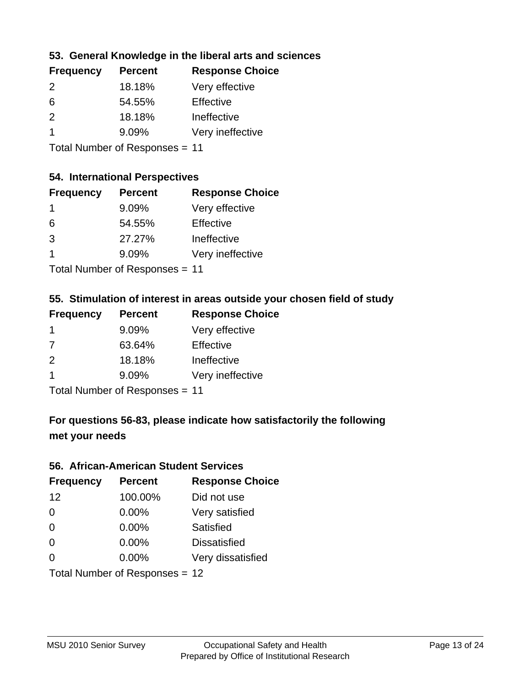# **53. General Knowledge in the liberal arts and sciences**

| <b>Frequency</b> | <b>Percent</b> | <b>Response Choice</b> |
|------------------|----------------|------------------------|
| $\mathcal{P}$    | 18.18%         | Very effective         |
| 6                | 54.55%         | Effective              |
| $\mathcal{P}$    | 18.18%         | Ineffective            |
|                  | 9.09%          | Very ineffective       |
|                  |                |                        |

Total Number of Responses = 11

### **54. International Perspectives**

| <b>Frequency</b> | <b>Percent</b> | <b>Response Choice</b> |
|------------------|----------------|------------------------|
| $\mathbf 1$      | 9.09%          | Very effective         |
| -6               | 54.55%         | Effective              |
| 3                | 27.27%         | Ineffective            |
| 1                | 9.09%          | Very ineffective       |
|                  |                |                        |

Total Number of Responses = 11

### **55. Stimulation of interest in areas outside your chosen field of study**

| <b>Frequency</b> | <b>Percent</b>            | <b>Response Choice</b> |
|------------------|---------------------------|------------------------|
| -1               | 9.09%                     | Very effective         |
| 7                | 63.64%                    | Effective              |
| $\mathcal{P}$    | 18.18%                    | Ineffective            |
| -1               | 9.09%                     | Very ineffective       |
|                  | Total Number of Desponses |                        |

Total Number of Responses = 11

# **For questions 56-83, please indicate how satisfactorily the following met your needs**

#### **56. African-American Student Services**

| <b>Frequency</b> | <b>Percent</b>                 | <b>Response Choice</b> |
|------------------|--------------------------------|------------------------|
| 12               | 100.00%                        | Did not use            |
| $\Omega$         | 0.00%                          | Very satisfied         |
| $\Omega$         | 0.00%                          | Satisfied              |
| $\Omega$         | $0.00\%$                       | <b>Dissatisfied</b>    |
| $\Omega$         | 0.00%                          | Very dissatisfied      |
|                  | Total Number of Responses = 12 |                        |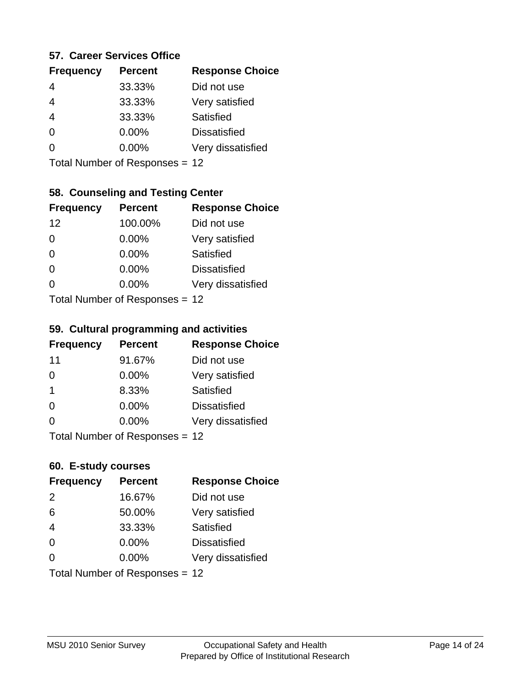### **57. Career Services Office**

| <b>Frequency</b> | <b>Percent</b> | <b>Response Choice</b> |
|------------------|----------------|------------------------|
| 4                | 33.33%         | Did not use            |
| 4                | 33.33%         | Very satisfied         |
| $\overline{4}$   | 33.33%         | Satisfied              |
| $\Omega$         | 0.00%          | <b>Dissatisfied</b>    |
|                  | $0.00\%$       | Very dissatisfied      |
|                  |                |                        |

Total Number of Responses = 12

# **58. Counseling and Testing Center**

| <b>Frequency</b> | <b>Percent</b>            | <b>Response Choice</b> |
|------------------|---------------------------|------------------------|
| 12               | 100.00%                   | Did not use            |
| 0                | 0.00%                     | Very satisfied         |
| $\Omega$         | 0.00%                     | Satisfied              |
| $\Omega$         | 0.00%                     | <b>Dissatisfied</b>    |
| ∩                | 0.00%                     | Very dissatisfied      |
|                  | Total Number of Desponses |                        |

Total Number of Responses = 12

#### **59. Cultural programming and activities**

| <b>Frequency</b> | <b>Percent</b>                  | <b>Response Choice</b> |
|------------------|---------------------------------|------------------------|
| 11               | 91.67%                          | Did not use            |
| $\Omega$         | $0.00\%$                        | Very satisfied         |
| -1               | 8.33%                           | Satisfied              |
| $\Omega$         | $0.00\%$                        | <b>Dissatisfied</b>    |
| $\Omega$         | $0.00\%$                        | Very dissatisfied      |
|                  | $Total$ Number of Despanses $-$ |                        |

I otal Number of Responses = 12

### **60. E-study courses**

| <b>Frequency</b> | <b>Percent</b>                 | <b>Response Choice</b> |
|------------------|--------------------------------|------------------------|
| 2                | 16.67%                         | Did not use            |
| 6                | 50.00%                         | Very satisfied         |
| $\overline{4}$   | 33.33%                         | Satisfied              |
| $\Omega$         | $0.00\%$                       | <b>Dissatisfied</b>    |
| $\Omega$         | 0.00%                          | Very dissatisfied      |
|                  | Total Number of Responses = 12 |                        |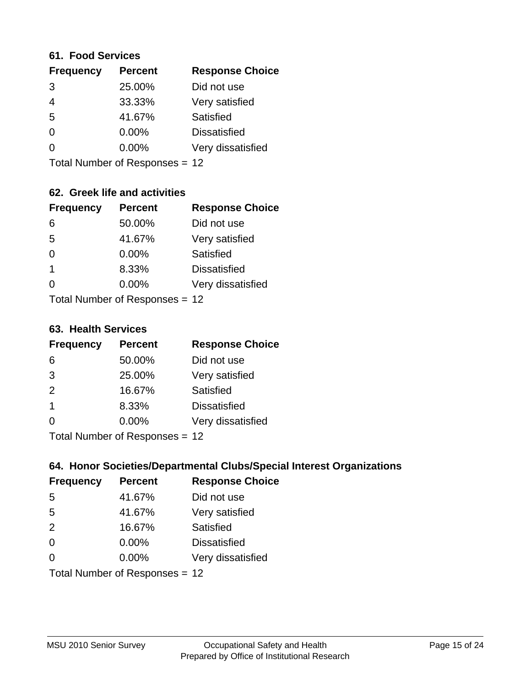#### **61. Food Services**

| <b>Frequency</b> | <b>Percent</b> | <b>Response Choice</b> |
|------------------|----------------|------------------------|
| 3                | 25.00%         | Did not use            |
| 4                | 33.33%         | Very satisfied         |
| 5                | 41.67%         | Satisfied              |
| $\Omega$         | $0.00\%$       | <b>Dissatisfied</b>    |
| O                | $0.00\%$       | Very dissatisfied      |
|                  |                |                        |

Total Number of Responses = 12

# **62. Greek life and activities**

| <b>Frequency</b> | <b>Percent</b>                 | <b>Response Choice</b> |
|------------------|--------------------------------|------------------------|
| 6                | 50.00%                         | Did not use            |
| 5                | 41.67%                         | Very satisfied         |
| $\Omega$         | $0.00\%$                       | Satisfied              |
| 1                | 8.33%                          | <b>Dissatisfied</b>    |
| O                | 0.00%                          | Very dissatisfied      |
|                  | Total Number of Responses = 12 |                        |

#### **63. Health Services**

| <b>Frequency</b> | <b>Percent</b>            | <b>Response Choice</b> |
|------------------|---------------------------|------------------------|
| 6                | 50.00%                    | Did not use            |
| 3                | 25.00%                    | Very satisfied         |
| 2                | 16.67%                    | Satisfied              |
| -1               | 8.33%                     | <b>Dissatisfied</b>    |
| $\Omega$         | $0.00\%$                  | Very dissatisfied      |
|                  | Total Number of Deepersee |                        |

Total Number of Responses = 12

# **64. Honor Societies/Departmental Clubs/Special Interest Organizations**

| <b>Frequency</b> | <b>Percent</b>                 | <b>Response Choice</b> |
|------------------|--------------------------------|------------------------|
| 5                | 41.67%                         | Did not use            |
| 5                | 41.67%                         | Very satisfied         |
| 2                | 16.67%                         | Satisfied              |
| $\Omega$         | $0.00\%$                       | <b>Dissatisfied</b>    |
| $\Omega$         | 0.00%                          | Very dissatisfied      |
|                  | Total Number of Responses = 12 |                        |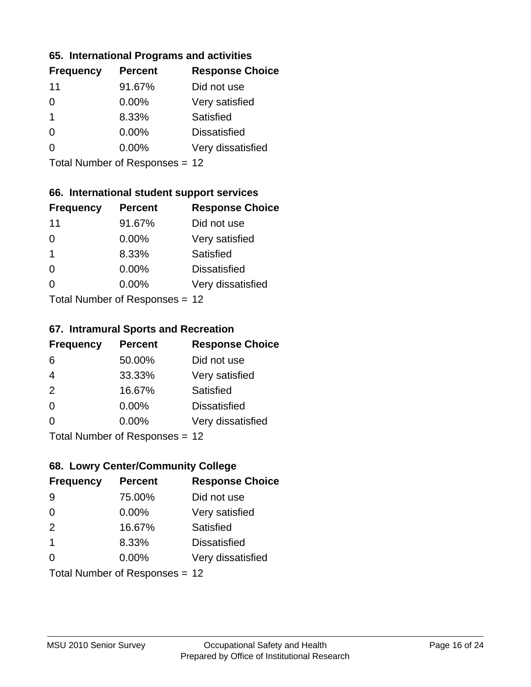### **65. International Programs and activities**

| <b>Frequency</b> | <b>Percent</b> | <b>Response Choice</b> |
|------------------|----------------|------------------------|
| 11               | 91.67%         | Did not use            |
| 0                | $0.00\%$       | Very satisfied         |
| 1                | 8.33%          | Satisfied              |
| O                | $0.00\%$       | <b>Dissatisfied</b>    |
|                  | $0.00\%$       | Very dissatisfied      |
|                  |                |                        |

Total Number of Responses = 12

# **66. International student support services**

| <b>Frequency</b> | <b>Percent</b>            | <b>Response Choice</b> |
|------------------|---------------------------|------------------------|
| 11               | 91.67%                    | Did not use            |
| 0                | 0.00%                     | Very satisfied         |
| 1                | 8.33%                     | Satisfied              |
| $\Omega$         | 0.00%                     | <b>Dissatisfied</b>    |
| 0                | 0.00%                     | Very dissatisfied      |
|                  | Total Number of Desponses |                        |

Total Number of Responses = 12

#### **67. Intramural Sports and Recreation**

| <b>Frequency</b> | <b>Percent</b>                  | <b>Response Choice</b> |
|------------------|---------------------------------|------------------------|
| 6                | 50.00%                          | Did not use            |
| $\overline{4}$   | 33.33%                          | Very satisfied         |
| 2                | 16.67%                          | Satisfied              |
| $\Omega$         | 0.00%                           | <b>Dissatisfied</b>    |
| $\Omega$         | 0.00%                           | Very dissatisfied      |
|                  | $Total Number of Denonose = 12$ |                        |

I otal Number of Responses = 12

# **68. Lowry Center/Community College**

| <b>Frequency</b>        | <b>Percent</b>                 | <b>Response Choice</b> |
|-------------------------|--------------------------------|------------------------|
| -9                      | 75.00%                         | Did not use            |
| $\Omega$                | 0.00%                          | Very satisfied         |
| 2                       | 16.67%                         | Satisfied              |
| $\overline{\mathbf{1}}$ | 8.33%                          | <b>Dissatisfied</b>    |
| $\Omega$                | 0.00%                          | Very dissatisfied      |
|                         | Total Number of Responses = 12 |                        |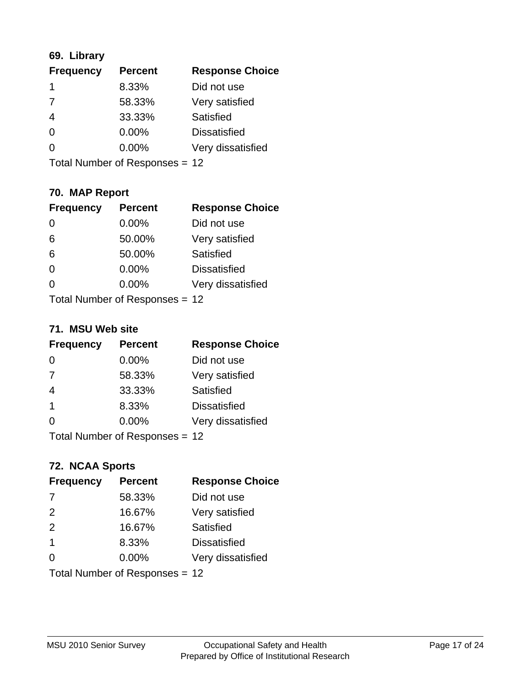# **69. Library**

| <b>Frequency</b> | <b>Percent</b> | <b>Response Choice</b> |
|------------------|----------------|------------------------|
| 1                | 8.33%          | Did not use            |
| 7                | 58.33%         | Very satisfied         |
| $\overline{4}$   | 33.33%         | Satisfied              |
| 0                | 0.00%          | <b>Dissatisfied</b>    |
| $\Omega$         | $0.00\%$       | Very dissatisfied      |
|                  |                |                        |

Total Number of Responses = 12

# **70. MAP Report**

| <b>Frequency</b> | <b>Percent</b>                 | <b>Response Choice</b> |
|------------------|--------------------------------|------------------------|
| 0                | 0.00%                          | Did not use            |
| 6                | 50.00%                         | Very satisfied         |
| 6                | 50.00%                         | Satisfied              |
| $\Omega$         | 0.00%                          | <b>Dissatisfied</b>    |
| 0                | $0.00\%$                       | Very dissatisfied      |
|                  | Total Number of Responses = 12 |                        |

#### **71. MSU Web site**

| <b>Frequency</b> | <b>Percent</b>                 | <b>Response Choice</b> |
|------------------|--------------------------------|------------------------|
| $\Omega$         | $0.00\%$                       | Did not use            |
| 7                | 58.33%                         | Very satisfied         |
| $\overline{4}$   | 33.33%                         | Satisfied              |
| $\overline{1}$   | 8.33%                          | <b>Dissatisfied</b>    |
| ∩                | 0.00%                          | Very dissatisfied      |
|                  | Total Number of Responses = 12 |                        |

# **72. NCAA Sports**

| <b>Frequency</b> | <b>Percent</b>                 | <b>Response Choice</b> |
|------------------|--------------------------------|------------------------|
| 7                | 58.33%                         | Did not use            |
| 2                | 16.67%                         | Very satisfied         |
| 2                | 16.67%                         | Satisfied              |
| $\mathbf 1$      | 8.33%                          | <b>Dissatisfied</b>    |
| $\Omega$         | 0.00%                          | Very dissatisfied      |
|                  | Total Number of Responses = 12 |                        |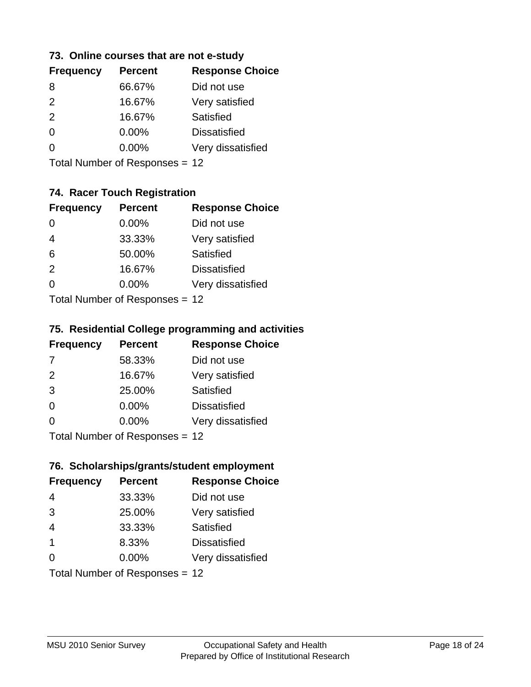### **73. Online courses that are not e-study**

| <b>Frequency</b> | <b>Percent</b> | <b>Response Choice</b> |
|------------------|----------------|------------------------|
| 8                | 66.67%         | Did not use            |
| $\mathcal{P}$    | 16.67%         | Very satisfied         |
| 2                | 16.67%         | Satisfied              |
| 0                | $0.00\%$       | <b>Dissatisfied</b>    |
|                  | $0.00\%$       | Very dissatisfied      |
|                  |                |                        |

Total Number of Responses = 12

# **74. Racer Touch Registration**

| <b>Frequency</b>                | <b>Percent</b> | <b>Response Choice</b> |
|---------------------------------|----------------|------------------------|
| 0                               | $0.00\%$       | Did not use            |
| $\overline{4}$                  | 33.33%         | Very satisfied         |
| 6                               | 50.00%         | Satisfied              |
| 2                               | 16.67%         | <b>Dissatisfied</b>    |
| 0                               | $0.00\%$       | Very dissatisfied      |
| $Total Number of Denonose = 12$ |                |                        |

Total Number of Responses = 12

# **75. Residential College programming and activities**

| <b>Frequency</b> | <b>Percent</b>                  | <b>Response Choice</b> |
|------------------|---------------------------------|------------------------|
| 7                | 58.33%                          | Did not use            |
| 2                | 16.67%                          | Very satisfied         |
| 3                | 25.00%                          | Satisfied              |
| $\Omega$         | 0.00%                           | <b>Dissatisfied</b>    |
| $\Omega$         | 0.00%                           | Very dissatisfied      |
|                  | $Total Number of Denonose = 12$ |                        |

I otal Number of Responses = 12

### **76. Scholarships/grants/student employment**

| <b>Frequency</b> | <b>Percent</b>                 | <b>Response Choice</b> |
|------------------|--------------------------------|------------------------|
| 4                | 33.33%                         | Did not use            |
| 3                | 25.00%                         | Very satisfied         |
| $\overline{4}$   | 33.33%                         | <b>Satisfied</b>       |
| $\overline{1}$   | 8.33%                          | <b>Dissatisfied</b>    |
| $\Omega$         | 0.00%                          | Very dissatisfied      |
|                  | Total Number of Responses = 12 |                        |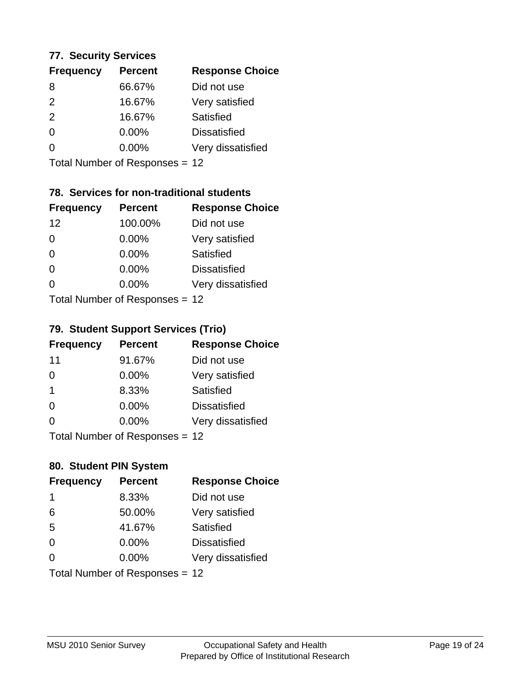### **77. Security Services**

| <b>Frequency</b> | <b>Percent</b> | <b>Response Choice</b> |
|------------------|----------------|------------------------|
| 8                | 66.67%         | Did not use            |
| $\mathcal{P}$    | 16.67%         | Very satisfied         |
| 2                | 16.67%         | Satisfied              |
| $\Omega$         | $0.00\%$       | <b>Dissatisfied</b>    |
| ∩                | $0.00\%$       | Very dissatisfied      |
|                  |                |                        |

Total Number of Responses = 12

# **78. Services for non-traditional students**

| <b>Frequency</b> | <b>Percent</b>            | <b>Response Choice</b> |
|------------------|---------------------------|------------------------|
| 12               | 100.00%                   | Did not use            |
| 0                | 0.00%                     | Very satisfied         |
| $\Omega$         | 0.00%                     | Satisfied              |
| $\Omega$         | 0.00%                     | <b>Dissatisfied</b>    |
| ∩                | 0.00%                     | Very dissatisfied      |
|                  | Total Number of Desponses |                        |

Total Number of Responses = 12

# **79. Student Support Services (Trio)**

| <b>Frequency</b> | <b>Percent</b>               | <b>Response Choice</b> |
|------------------|------------------------------|------------------------|
| 11               | 91.67%                       | Did not use            |
| $\Omega$         | $0.00\%$                     | Very satisfied         |
| $\overline{1}$   | 8.33%                        | Satisfied              |
| $\Omega$         | $0.00\%$                     | <b>Dissatisfied</b>    |
| $\Omega$         | $0.00\%$                     | Very dissatisfied      |
|                  | $Total Number of Denonce 42$ |                        |

I otal Number of Responses = 12

# **80. Student PIN System**

| <b>Frequency</b> | <b>Percent</b>                 | <b>Response Choice</b> |
|------------------|--------------------------------|------------------------|
| -1               | 8.33%                          | Did not use            |
| 6                | 50.00%                         | Very satisfied         |
| 5                | 41.67%                         | Satisfied              |
| $\Omega$         | $0.00\%$                       | <b>Dissatisfied</b>    |
| $\Omega$         | $0.00\%$                       | Very dissatisfied      |
|                  | Total Number of Responses = 12 |                        |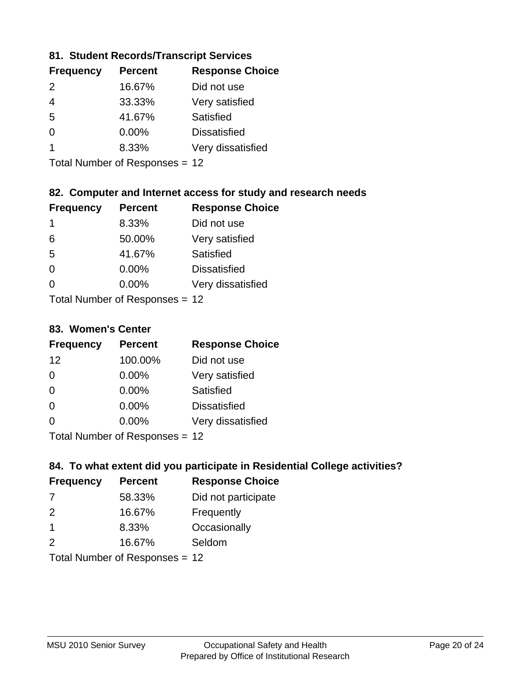# **81. Student Records/Transcript Services**

| <b>Frequency</b> | <b>Percent</b> | <b>Response Choice</b> |
|------------------|----------------|------------------------|
| $\mathcal{P}$    | 16.67%         | Did not use            |
| 4                | 33.33%         | Very satisfied         |
| .5               | 41.67%         | Satisfied              |
| ∩                | 0.00%          | <b>Dissatisfied</b>    |
|                  | 8.33%          | Very dissatisfied      |

Total Number of Responses = 12

# **82. Computer and Internet access for study and research needs**

| <b>Frequency</b> | <b>Percent</b>            | <b>Response Choice</b> |
|------------------|---------------------------|------------------------|
| 1                | 8.33%                     | Did not use            |
| 6                | 50.00%                    | Very satisfied         |
| 5                | 41.67%                    | Satisfied              |
| $\Omega$         | 0.00%                     | <b>Dissatisfied</b>    |
| ∩                | 0.00%                     | Very dissatisfied      |
|                  | Total Number of Desponses |                        |

Total Number of Responses = 12

# **83. Women's Center**

| <b>Frequency</b> | <b>Percent</b>            | <b>Response Choice</b> |
|------------------|---------------------------|------------------------|
| 12               | 100.00%                   | Did not use            |
| $\Omega$         | $0.00\%$                  | Very satisfied         |
| $\Omega$         | $0.00\%$                  | Satisfied              |
| $\Omega$         | 0.00%                     | <b>Dissatisfied</b>    |
| $\Omega$         | $0.00\%$                  | Very dissatisfied      |
|                  | Total Number of Desponses |                        |

Total Number of Responses = 12

# **84. To what extent did you participate in Residential College activities?**

| <b>Frequency</b> | <b>Percent</b>            | <b>Response Choice</b> |
|------------------|---------------------------|------------------------|
| -7               | 58.33%                    | Did not participate    |
| $\mathcal{P}$    | 16.67%                    | Frequently             |
| $\overline{1}$   | 8.33%                     | Occasionally           |
| $\mathcal{P}$    | 16.67%                    | Seldom                 |
|                  | Total Number of Desponses |                        |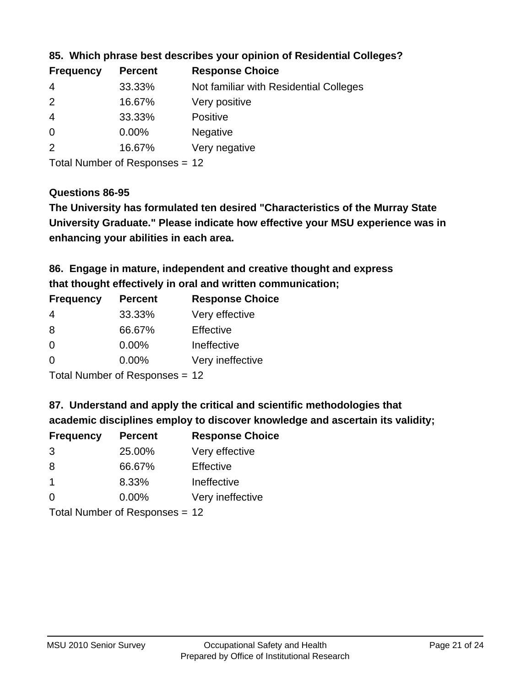| Not familiar with Residential Colleges |
|----------------------------------------|
|                                        |
|                                        |
|                                        |
|                                        |
|                                        |

### **85. Which phrase best describes your opinion of Residential Colleges?**

Total Number of Responses = 12

#### **Questions 86-95**

**University Graduate." Please indicate how effective your MSU experience was in The University has formulated ten desired "Characteristics of the Murray State enhancing your abilities in each area.**

**86. Engage in mature, independent and creative thought and express that thought effectively in oral and written communication;**

| <b>Percent</b> | <b>Response Choice</b> |
|----------------|------------------------|
| 33.33%         | Very effective         |
| 66.67%         | Effective              |
| 0.00%          | Ineffective            |
| $0.00\%$       | Very ineffective       |
|                |                        |

Total Number of Responses = 12

**87. Understand and apply the critical and scientific methodologies that** 

**academic disciplines employ to discover knowledge and ascertain its validity;**

| <b>Frequency</b> | <b>Percent</b> | <b>Response Choice</b> |
|------------------|----------------|------------------------|
| 3                | 25.00%         | Very effective         |
| 8                | 66.67%         | Effective              |
| -1               | 8.33%          | Ineffective            |
| $\Omega$         | 0.00%          | Very ineffective       |
|                  |                |                        |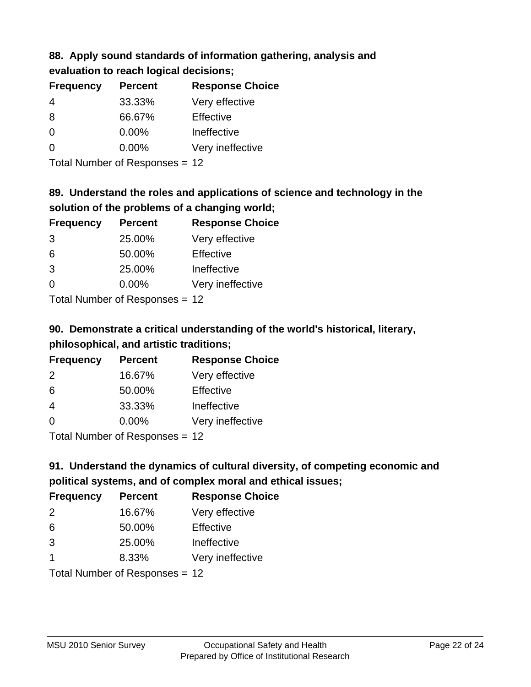# **88. Apply sound standards of information gathering, analysis and evaluation to reach logical decisions;**

| <b>Frequency</b> | <b>Percent</b> | <b>Response Choice</b> |
|------------------|----------------|------------------------|
| 4                | 33.33%         | Very effective         |
| 8                | 66.67%         | Effective              |
| $\Omega$         | 0.00%          | Ineffective            |
| $\Omega$         | 0.00%          | Very ineffective       |
|                  |                |                        |

Total Number of Responses = 12

# **89. Understand the roles and applications of science and technology in the solution of the problems of a changing world;**

| <b>Frequency</b> | <b>Percent</b>             | <b>Response Choice</b> |
|------------------|----------------------------|------------------------|
| 3                | 25.00%                     | Very effective         |
| 6                | 50.00%                     | Effective              |
| 3                | 25.00%                     | Ineffective            |
| $\Omega$         | 0.00%                      | Very ineffective       |
|                  | Tatal Number of Desperance |                        |

Total Number of Responses = 12

# **90. Demonstrate a critical understanding of the world's historical, literary, philosophical, and artistic traditions;**

| <b>Frequency</b> | <b>Percent</b> | <b>Response Choice</b> |
|------------------|----------------|------------------------|
| 2                | 16.67%         | Very effective         |
| 6                | 50.00%         | Effective              |
| $\overline{4}$   | 33.33%         | Ineffective            |
| $\Omega$         | 0.00%          | Very ineffective       |
|                  |                |                        |

Total Number of Responses = 12

# **91. Understand the dynamics of cultural diversity, of competing economic and political systems, and of complex moral and ethical issues;**

| <b>Frequency</b>     | <b>Percent</b>                 | <b>Response Choice</b> |
|----------------------|--------------------------------|------------------------|
| 2                    | 16.67%                         | Very effective         |
| 6                    | 50.00%                         | Effective              |
| 3                    | 25.00%                         | Ineffective            |
| $\blacktriangleleft$ | 8.33%                          | Very ineffective       |
|                      | Total Number of Responses = 12 |                        |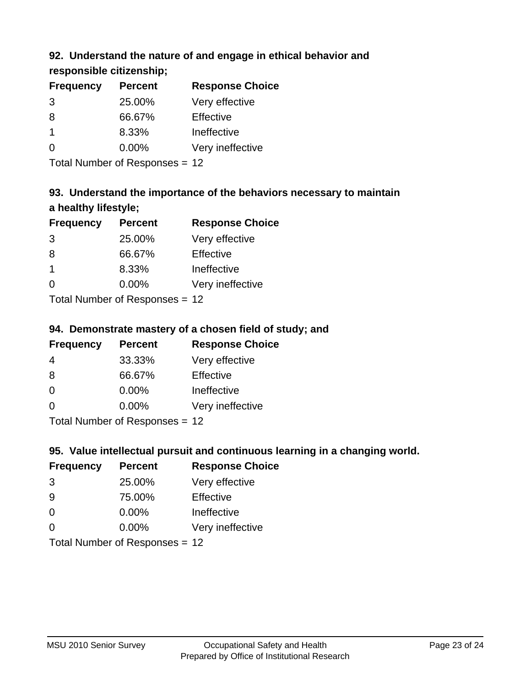# **92. Understand the nature of and engage in ethical behavior and**

# **responsible citizenship;**

| <b>Frequency</b> | <b>Percent</b> | <b>Response Choice</b> |
|------------------|----------------|------------------------|
| 3                | 25.00%         | Very effective         |
| 8                | 66.67%         | Effective              |
|                  | 8.33%          | Ineffective            |
| ∩                | $0.00\%$       | Very ineffective       |
|                  |                |                        |

Total Number of Responses = 12

# **93. Understand the importance of the behaviors necessary to maintain a healthy lifestyle;**

| <b>Frequency</b> | <b>Percent</b>             | <b>Response Choice</b> |
|------------------|----------------------------|------------------------|
| 3                | 25.00%                     | Very effective         |
| 8                | 66.67%                     | Effective              |
| $\mathbf 1$      | 8.33%                      | Ineffective            |
| $\Omega$         | 0.00%                      | Very ineffective       |
|                  | Tatal Manakan af Dagmanage |                        |

Total Number of Responses = 12

# **94. Demonstrate mastery of a chosen field of study; and**

| <b>Frequency</b> | <b>Percent</b> | <b>Response Choice</b> |
|------------------|----------------|------------------------|
| 4                | 33.33%         | Very effective         |
| 8                | 66.67%         | Effective              |
| $\Omega$         | 0.00%          | Ineffective            |
| $\Omega$         | 0.00%          | Very ineffective       |
|                  |                |                        |

Total Number of Responses = 12

# **95. Value intellectual pursuit and continuous learning in a changing world.**

| <b>Frequency</b> | <b>Percent</b>               | <b>Response Choice</b> |
|------------------|------------------------------|------------------------|
| 3                | 25.00%                       | Very effective         |
| -9               | 75.00%                       | Effective              |
| $\Omega$         | $0.00\%$                     | Ineffective            |
| $\Omega$         | $0.00\%$                     | Very ineffective       |
|                  | $Total Number of Denonone -$ |                        |